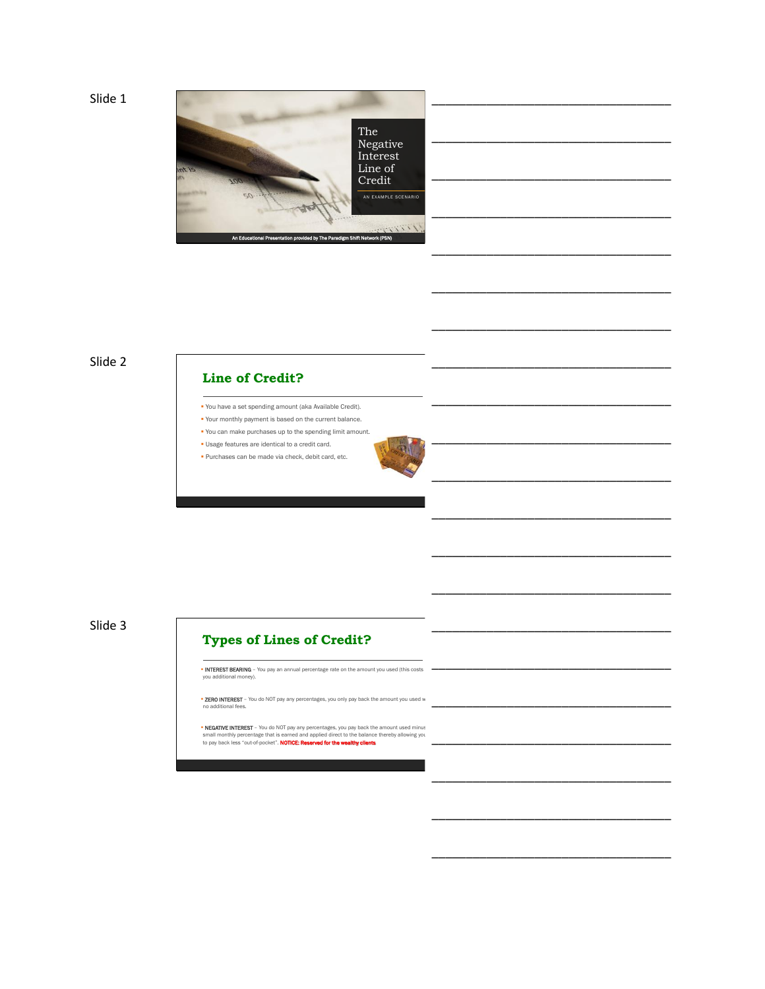Slide 1



\_\_\_\_\_\_\_\_\_\_\_\_\_\_\_\_\_\_\_\_\_\_\_\_\_\_\_\_\_\_\_\_\_\_\_

\_\_\_\_\_\_\_\_\_\_\_\_\_\_\_\_\_\_\_\_\_\_\_\_\_\_\_\_\_\_\_\_\_\_\_

\_\_\_\_\_\_\_\_\_\_\_\_\_\_\_\_\_\_\_\_\_\_\_\_\_\_\_\_\_\_\_\_\_\_\_

\_\_\_\_\_\_\_\_\_\_\_\_\_\_\_\_\_\_\_\_\_\_\_\_\_\_\_\_\_\_\_\_\_\_\_

\_\_\_\_\_\_\_\_\_\_\_\_\_\_\_\_\_\_\_\_\_\_\_\_\_\_\_\_\_\_\_\_\_\_\_

\_\_\_\_\_\_\_\_\_\_\_\_\_\_\_\_\_\_\_\_\_\_\_\_\_\_\_\_\_\_\_\_\_\_\_

\_\_\_\_\_\_\_\_\_\_\_\_\_\_\_\_\_\_\_\_\_\_\_\_\_\_\_\_\_\_\_\_\_\_\_

\_\_\_\_\_\_\_\_\_\_\_\_\_\_\_\_\_\_\_\_\_\_\_\_\_\_\_\_\_\_\_\_\_\_\_

\_\_\_\_\_\_\_\_\_\_\_\_\_\_\_\_\_\_\_\_\_\_\_\_\_\_\_\_\_\_\_\_\_\_\_

\_\_\_\_\_\_\_\_\_\_\_\_\_\_\_\_\_\_\_\_\_\_\_\_\_\_\_\_\_\_\_\_\_\_\_

\_\_\_\_\_\_\_\_\_\_\_\_\_\_\_\_\_\_\_\_\_\_\_\_\_\_\_\_\_\_\_\_\_\_\_

\_\_\_\_\_\_\_\_\_\_\_\_\_\_\_\_\_\_\_\_\_\_\_\_\_\_\_\_\_\_\_\_\_\_\_

\_\_\_\_\_\_\_\_\_\_\_\_\_\_\_\_\_\_\_\_\_\_\_\_\_\_\_\_\_\_\_\_\_\_\_

### Slide 2

#### **Line of Credit?**

- You have a set spending amount (aka Available Credit).
- Your monthly payment is based on the current balance.
- You can make purchases up to the spending limit amount. Usage features are identical to a credit card.
- **Purchases can be made via check, debit card, etc.**

Slide 3

# **Types of Lines of Credit?**

| • INTEREST BEARING - You pay an annual percentage rate on the amount you used (this costs)<br>vou additional money).                                                                                                                                                     |  |
|--------------------------------------------------------------------------------------------------------------------------------------------------------------------------------------------------------------------------------------------------------------------------|--|
| <b>- ZERO INTEREST</b> - You do NOT pay any percentages, you only pay back the amount you used w<br>no additional fees.                                                                                                                                                  |  |
| . NEGATIVE INTEREST - You do NOT pay any percentages, you pay back the amount used minus<br>small monthly percentage that is earned and applied direct to the balance thereby allowing you<br>to pay back less "out-of-pocket". NOTICE: Reserved for the wealthy clients |  |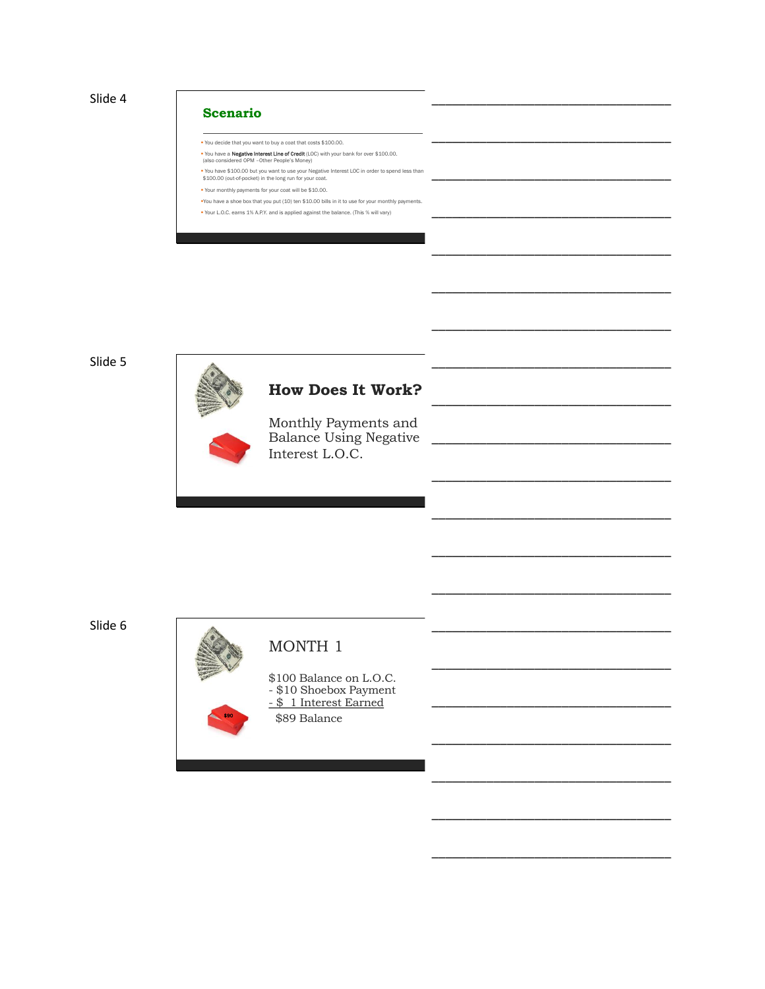

#### **Scenario**

You decide that you want to buy a coat that costs \$100.00.

- **You have a Negative Interest Line of Credit** (LOC) with your bank for over \$100.00.<br>(also considered OPM -Other People's Money)
- You have \$100.00 but you want to use your Negative Interest LOC in order to spend less than \$100.00 (out-of-pocket) in the long run for your coat.
- Your monthly payments for your coat will be \$10.00.
- You have a shoe box that you put (10) ten \$10.00 bills in it to use for your monthly payments. Your L.O.C. earns 1% A.P.Y. and is applied against the balance. (This % will vary)

#### Slide 5



\_\_\_\_\_\_\_\_\_\_\_\_\_\_\_\_\_\_\_\_\_\_\_\_\_\_\_\_\_\_\_\_\_\_\_

\_\_\_\_\_\_\_\_\_\_\_\_\_\_\_\_\_\_\_\_\_\_\_\_\_\_\_\_\_\_\_\_\_\_\_

\_\_\_\_\_\_\_\_\_\_\_\_\_\_\_\_\_\_\_\_\_\_\_\_\_\_\_\_\_\_\_\_\_\_\_

\_\_\_\_\_\_\_\_\_\_\_\_\_\_\_\_\_\_\_\_\_\_\_\_\_\_\_\_\_\_\_\_\_\_\_

\_\_\_\_\_\_\_\_\_\_\_\_\_\_\_\_\_\_\_\_\_\_\_\_\_\_\_\_\_\_\_\_\_\_\_

\_\_\_\_\_\_\_\_\_\_\_\_\_\_\_\_\_\_\_\_\_\_\_\_\_\_\_\_\_\_\_\_\_\_\_

\_\_\_\_\_\_\_\_\_\_\_\_\_\_\_\_\_\_\_\_\_\_\_\_\_\_\_\_\_\_\_\_\_\_\_

\_\_\_\_\_\_\_\_\_\_\_\_\_\_\_\_\_\_\_\_\_\_\_\_\_\_\_\_\_\_\_\_\_\_\_

\_\_\_\_\_\_\_\_\_\_\_\_\_\_\_\_\_\_\_\_\_\_\_\_\_\_\_\_\_\_\_\_\_\_\_

\_\_\_\_\_\_\_\_\_\_\_\_\_\_\_\_\_\_\_\_\_\_\_\_\_\_\_\_\_\_\_\_\_\_\_

\_\_\_\_\_\_\_\_\_\_\_\_\_\_\_\_\_\_\_\_\_\_\_\_\_\_\_\_\_\_\_\_\_\_\_

\_\_\_\_\_\_\_\_\_\_\_\_\_\_\_\_\_\_\_\_\_\_\_\_\_\_\_\_\_\_\_\_\_\_\_

\_\_\_\_\_\_\_\_\_\_\_\_\_\_\_\_\_\_\_\_\_\_\_\_\_\_\_\_\_\_\_\_\_\_\_

\_\_\_\_\_\_\_\_\_\_\_\_\_\_\_\_\_\_\_\_\_\_\_\_\_\_\_\_\_\_\_\_\_\_\_

\_\_\_\_\_\_\_\_\_\_\_\_\_\_\_\_\_\_\_\_\_\_\_\_\_\_\_\_\_\_\_\_\_\_\_

\_\_\_\_\_\_\_\_\_\_\_\_\_\_\_\_\_\_\_\_\_\_\_\_\_\_\_\_\_\_\_\_\_\_\_

Slide 6



# MONTH 1

\$100 Balance on L.O.C. - \$10 Shoebox Payment - \$ 1 Interest Earned \$89 Balance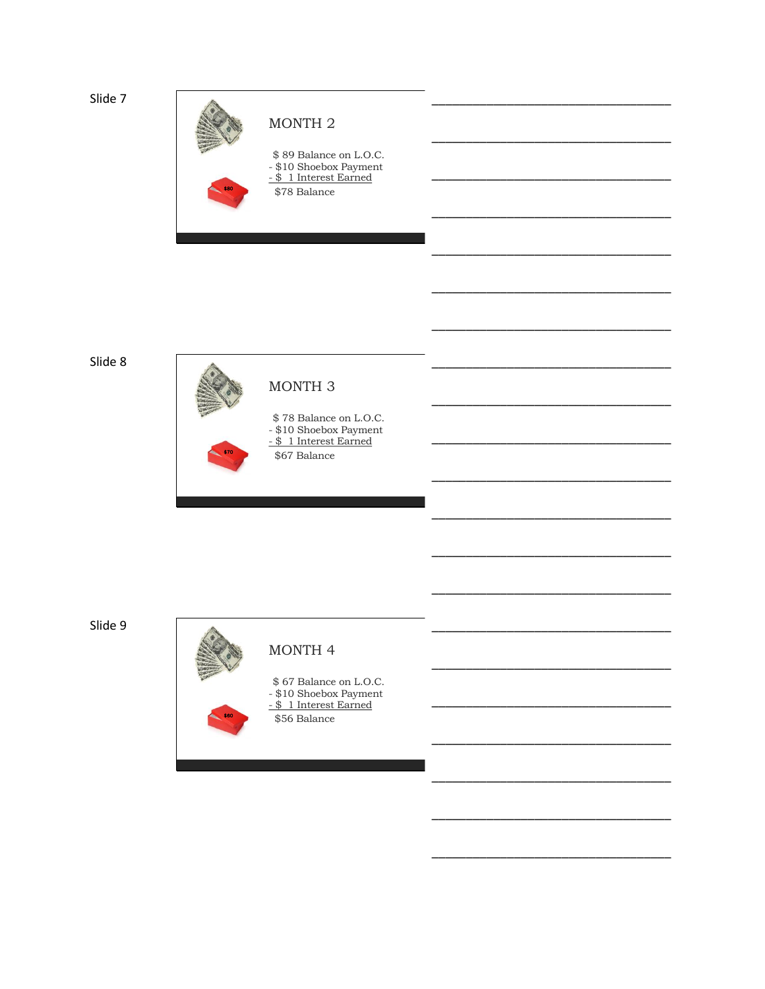Slide 7



Slide 8



Slide 9



### MONTH 4

\$67 Balance on L.O.C. - \$10 Shoebox Payment<br>- \$11 Interest Earned \$56 Balance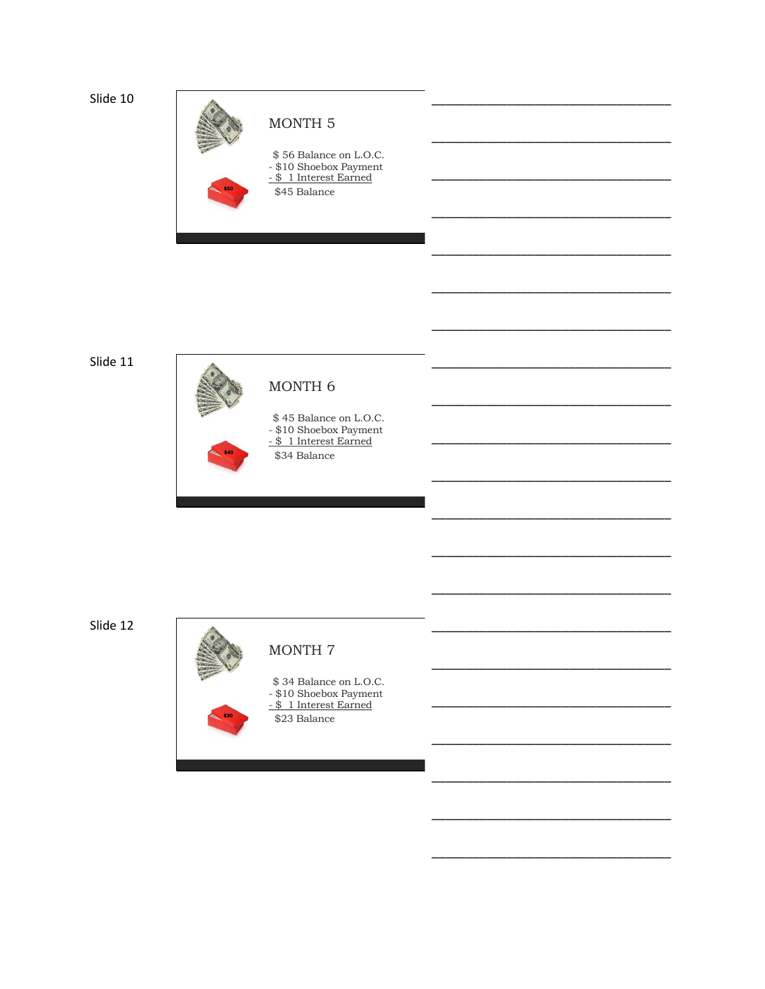Slide 10



Slide 11



Slide 12



## MONTH 7

\$34 Balance on L.O.C. - \$10 Shoebox Payment<br>- \$11 Interest Earned  $\overline{$}23$  Balance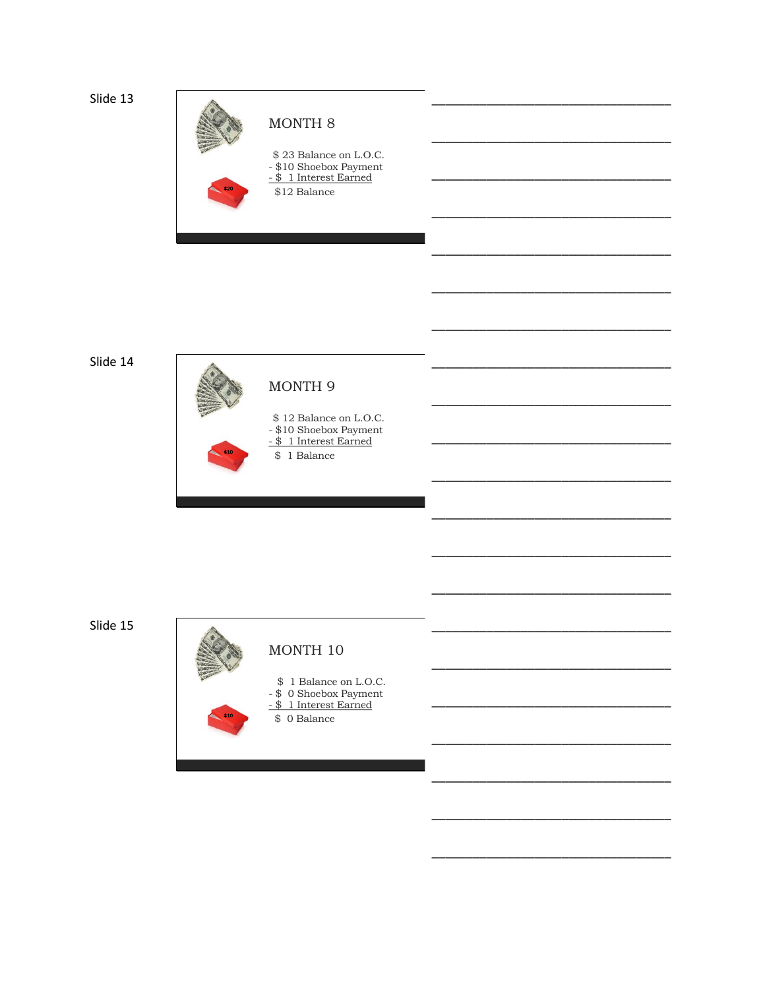Slide 13



Slide 14



Slide 15



### MONTH 10

- \$1 Balance on L.O.C.
- \$ 0 Shoebox Payment<br>- \$ 1 Interest Earned
- - \$ 0 Balance